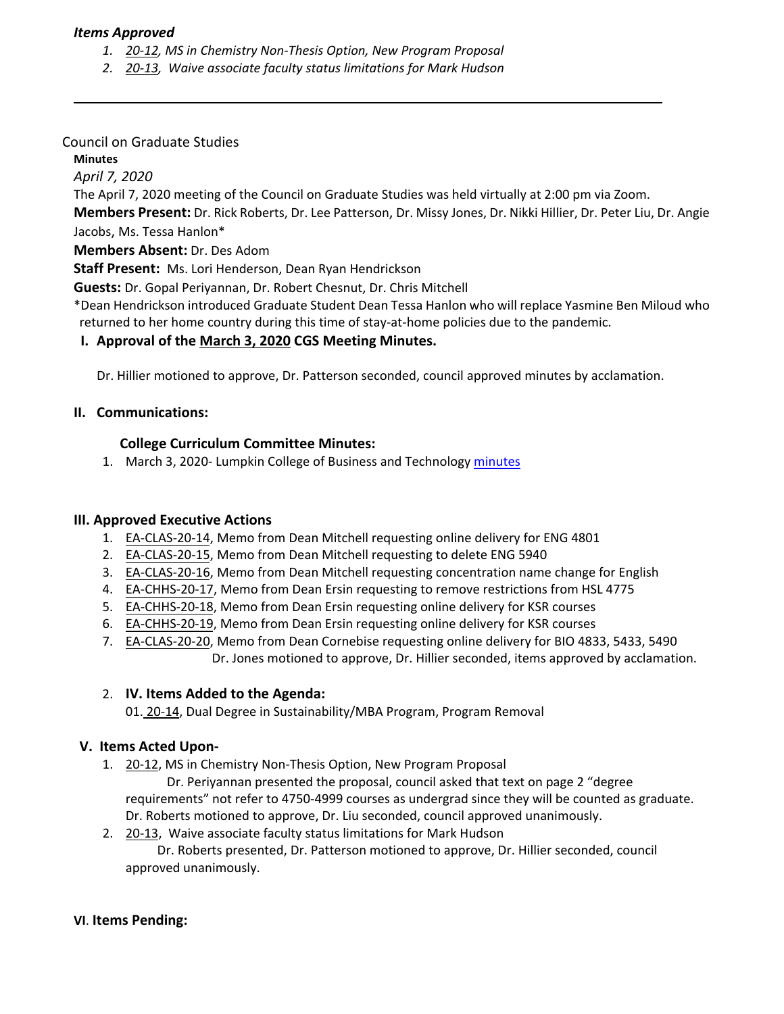## *Items Approved*

- *1. 20‐[12,](https://castle.eiu.edu/eiucgs/currentagendaitems/agenda20-12.pdf) MS in Chemistry Non‐Thesis Option, New Program Proposal*
- *2. 20‐[13,](https://castle.eiu.edu/eiucgs/currentagendaitems/agenda20-13.pdf) Waive associate faculty status limitations for Mark Hudson*

### Council on Graduate Studies

### **Minutes**

*April 7, 2020*

The April 7, 2020 meeting of the Council on Graduate Studies was held virtually at 2:00 pm via Zoom.

**Members Present:** Dr. Rick Roberts, Dr. Lee Patterson, Dr. Missy Jones, Dr. Nikki Hillier, Dr. Peter Liu, Dr. Angie Jacobs, Ms. Tessa Hanlon\*

**Members Absent:** Dr. Des Adom

**Staff Present:** Ms. Lori Henderson, Dean Ryan Hendrickson

**Guests:** Dr. Gopal Periyannan, Dr. Robert Chesnut, Dr. Chris Mitchell

\*Dean Hendrickson introduced Graduate Student Dean Tessa Hanlon who will replace Yasmine Ben Miloud who returned to her home country during this time of stay‐at‐home policies due to the pandemic.

# **I. Approval of the [March](https://castle.eiu.edu/~eiucgs/currentminutes/Minutes3-3-20.pdf) 3, 2020 CGS Meeting Minutes.**

Dr. Hillier motioned to approve, Dr. Patterson seconded, council approved minutes by acclamation.

## **II. Communications:**

## **College Curriculum Committee Minutes:**

1. March 3, 2020‐ Lumpkin College of Business and Technology [minutes](https://www.eiu.edu/lumpkin/curriculum/lcbatcurrmin20200303.pdf)

#### **III. Approved Executive Actions**

- 1. EA‐[CLAS](http://castle.eiu.edu/eiucgs/exec-actions/EA-CLAS-20-14.pdf)‐20‐14, Memo from Dean Mitchell requesting online delivery for ENG 4801
- 2. EA-[CLAS](http://castle.eiu.edu/eiucgs/exec-actions/EA-CLAS-20-15.pdf)-20-15, Memo from Dean Mitchell requesting to delete ENG 5940
- 3. EA-[CLAS](http://castle.eiu.edu/eiucgs/exec-actions/EA-CLAS-20-16.pdf)-20-16, Memo from Dean Mitchell requesting concentration name change for English
- 4. EA-C[HHS](http://castle.eiu.edu/eiucgs/exec-actions/EA-CHHS-20-17.pdf)-20-17, Memo from Dean Ersin requesting to remove restrictions from HSL 4775
- 5. EA-[CHHS](http://castle.eiu.edu/eiucgs/exec-actions/EA-CHHS-20-18.pdf)-20-18, Memo from Dean Ersin requesting online delivery for KSR courses
- 6. EA‐[CHHS](http://castle.eiu.edu/eiucgs/exec-actions/EA-CHHS-20-19.pdf)‐20‐19, Memo from Dean Ersin requesting online delivery for KSR courses
- 7. EA‐[CLAS](http://castle.eiu.edu/eiucgs/exec-actions/EA-CLAS-20-20.pdf)‐20‐20, Memo from Dean Cornebise requesting online delivery for BIO 4833, 5433, 5490 Dr. Jones motioned to approve, Dr. Hillier seconded, items approved by acclamation.

#### 2. **IV. Items Added to the Agenda:**

01[. 20](https://castle.eiu.edu/eiucgs/currentagendaitems/agenda20-14.pdf)-14, Dual Degree in Sustainability/MBA Program, Program Removal

# **V. Items Acted Upon‐**

1. 20-[12,](https://castle.eiu.edu/eiucgs/currentagendaitems/agenda20-12.pdf) MS in Chemistry Non-Thesis Option, New Program Proposal

Dr. Periyannan presented the proposal, council asked that text on page 2 "degree requirements" not refer to 4750‐4999 courses as undergrad since they will be counted as graduate. Dr. Roberts motioned to approve, Dr. Liu seconded, council approved unanimously.

2. [20](https://castle.eiu.edu/eiucgs/currentagendaitems/agenda20-13.pdf)‐13, Waive associate faculty status limitations for Mark Hudson

 Dr. Roberts presented, Dr. Patterson motioned to approve, Dr. Hillier seconded, council approved unanimously.

#### **VI**. **Items Pending:**